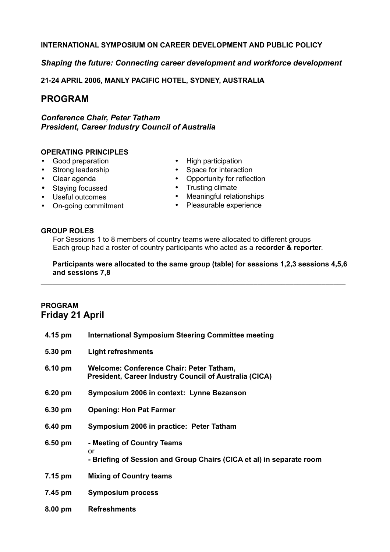#### **INTERNATIONAL SYMPOSIUM ON CAREER DEVELOPMENT AND PUBLIC POLICY**

#### *Shaping the future: Connecting career development and workforce development*

**21-24 APRIL 2006, MANLY PACIFIC HOTEL, SYDNEY, AUSTRALIA**

## **PROGRAM**

*Conference Chair, Peter Tatham President, Career Industry Council of Australia*

#### **OPERATING PRINCIPLES**

- Good preparation
- Strong leadership
- Clear agenda
- Staying focussed
- Useful outcomes
- On-going commitment
- High participation
- Space for interaction
- Opportunity for reflection
- Trusting climate
- Meaningful relationships
- Pleasurable experience

#### **GROUP ROLES**

For Sessions 1 to 8 members of country teams were allocated to different groups Each group had a roster of country participants who acted as a **recorder & reporter**.

**Participants were allocated to the same group (table) for sessions 1,2,3 sessions 4,5,6 and sessions 7,8**

**\_\_\_\_\_\_\_\_\_\_\_\_\_\_\_\_\_\_\_\_\_\_\_\_\_\_\_\_\_\_\_\_\_\_\_\_\_\_\_\_\_\_\_\_\_\_\_\_\_\_\_\_\_\_\_\_\_\_\_\_\_\_\_\_\_\_\_\_\_\_\_\_\_\_\_\_**

### **PROGRAM Friday 21 April**

| 4.15 pm   | <b>International Symposium Steering Committee meeting</b>                                                |  |
|-----------|----------------------------------------------------------------------------------------------------------|--|
| 5.30 pm   | <b>Light refreshments</b>                                                                                |  |
| 6.10 pm   | Welcome: Conference Chair: Peter Tatham,<br>President, Career Industry Council of Australia (CICA)       |  |
| 6.20 pm   | Symposium 2006 in context: Lynne Bezanson                                                                |  |
| 6.30 pm   | <b>Opening: Hon Pat Farmer</b>                                                                           |  |
| 6.40 pm   | Symposium 2006 in practice: Peter Tatham                                                                 |  |
| 6.50 pm   | - Meeting of Country Teams<br>or<br>- Briefing of Session and Group Chairs (CICA et al) in separate room |  |
| 7.15 pm   | <b>Mixing of Country teams</b>                                                                           |  |
| 7.45 pm   | <b>Symposium process</b>                                                                                 |  |
| $8.00$ pm | <b>Refreshments</b>                                                                                      |  |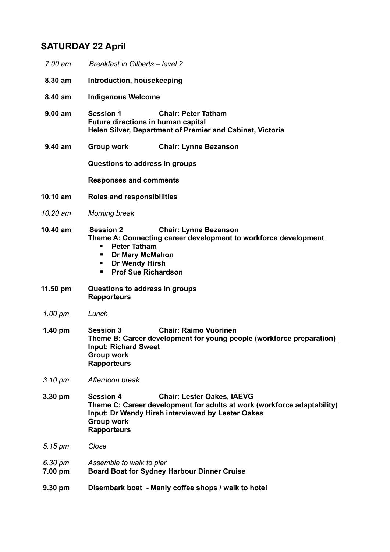## **SATURDAY 22 April**

*7.00 am Breakfast in Gilberts – level 2* **8.30 am Introduction, housekeeping 8.40 am Indigenous Welcome 9.00 am Session 1 Chair: Peter Tatham Future directions in human capital Helen Silver, Department of Premier and Cabinet, Victoria 9.40 am Group work Chair: Lynne Bezanson Questions to address in groups Responses and comments 10.10 am Roles and responsibilities** *10.20 am Morning break* **10.40 am Session 2 Chair: Lynne Bezanson Theme A: Connecting career development to workforce development Peter Tatham Dr Mary McMahon Dr Wendy Hirsh Prof Sue Richardson 11.50 pm Questions to address in groups Rapporteurs** *1.00 pm Lunch* **1.40 pm Session 3 Chair: Raimo Vuorinen Theme B: Career development for young people (workforce preparation) Input: Richard Sweet Group work Rapporteurs** *3.10 pm Afternoon break* **3.30 pm Session 4 Chair: Lester Oakes, IAEVG Theme C: Career development for adults at work (workforce adaptability) Input: Dr Wendy Hirsh interviewed by Lester Oakes Group work Rapporteurs** *5.15 pm Close 6.30 pm Assemble to walk to pier* **7.00 pm Board Boat for Sydney Harbour Dinner Cruise 9.30 pm Disembark boat - Manly coffee shops / walk to hotel**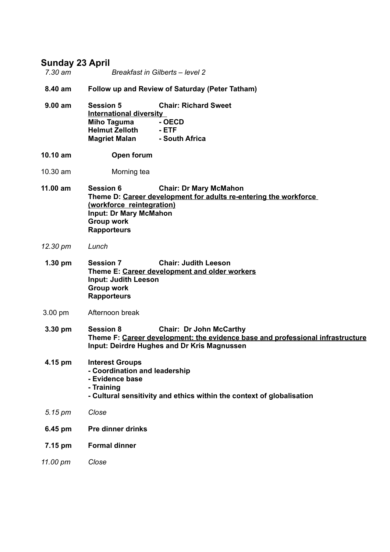## **Sunday 23 April**

| 7.30 am | Breakfast in Gilberts - level 2 |
|---------|---------------------------------|

- **8.40 am Follow up and Review of Saturday (Peter Tatham)**
- **9.00 am Session 5 Chair: Richard Sweet International diversity Miho Taguma - OECD Helmut Zelloth - ETF Magriet Malan - South Africa**
- **10.10 am Open forum**
- 10.30 am Morning tea
- **11.00 am Session 6 Chair: Dr Mary McMahon Theme D: Career development for adults re-entering the workforce (workforce reintegration) Input: Dr Mary McMahon Group work Rapporteurs**
- *12.30 pm Lunch*
- **1.30 pm Session 7 Chair: Judith Leeson Theme E: Career development and older workers Input: Judith Leeson Group work Rapporteurs**
- 3.00 pm Afternoon break
- **3.30 pm Session 8 Chair: Dr John McCarthy Theme F: Career development: the evidence base and professional infrastructure Input: Deirdre Hughes and Dr Kris Magnussen**

### **4.15 pm Interest Groups - Coordination and leadership - Evidence base - Training**

- **- Cultural sensitivity and ethics within the context of globalisation**
- *5.15 pm Close*
- **6.45 pm Pre dinner drinks**
- **7.15 pm Formal dinner**
- *11.00 pm Close*